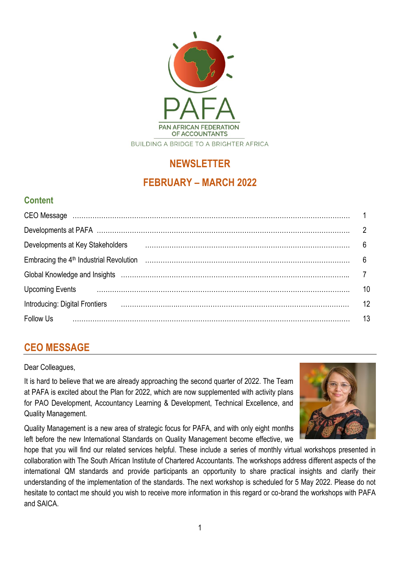

# **NEWSLETTER FEBRUARY – MARCH 2022**

# **Content**

| Developments at Key Stakeholders                                                                               | 6  |
|----------------------------------------------------------------------------------------------------------------|----|
|                                                                                                                | 6  |
| Global Knowledge and Insights (and continuum continuum continuum control and the control of the control of the |    |
| Upcoming Events <b>Example 20</b> manufacture continuum continuum contractor and the Upcoming Events           | 10 |
| <b>Introducing: Digital Frontiers</b>                                                                          | 12 |
| Follow Us                                                                                                      | 13 |

# **CEO MESSAGE**

#### Dear Colleagues,

It is hard to believe that we are already approaching the second quarter of 2022. The Team at PAFA is excited about the Plan for 2022, which are now supplemented with activity plans for PAO Development, Accountancy Learning & Development, Technical Excellence, and Quality Management.



Quality Management is a new area of strategic focus for PAFA, and with only eight months left before the new International Standards on Quality Management become effective, we

hope that you will find our related services helpful. These include a series of monthly virtual workshops presented in collaboration with The South African Institute of Chartered Accountants. The workshops address different aspects of the international QM standards and provide participants an opportunity to share practical insights and clarify their understanding of the implementation of the standards. The next workshop is scheduled for 5 May 2022. Please do not hesitate to contact me should you wish to receive more information in this regard or co-brand the workshops with PAFA and SAICA.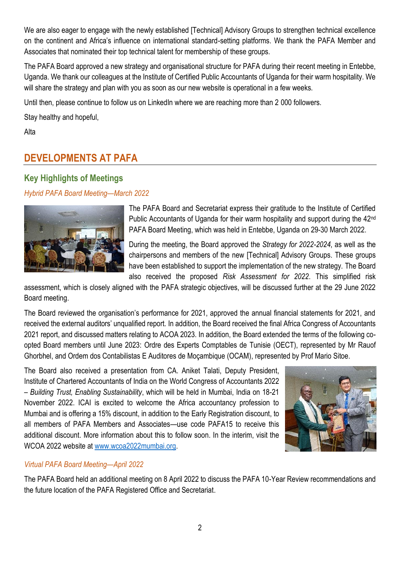We are also eager to engage with the newly established [Technical] Advisory Groups to strengthen technical excellence on the continent and Africa's influence on international standard-setting platforms. We thank the PAFA Member and Associates that nominated their top technical talent for membership of these groups.

The PAFA Board approved a new strategy and organisational structure for PAFA during their recent meeting in Entebbe, Uganda. We thank our colleagues at the Institute of Certified Public Accountants of Uganda for their warm hospitality. We will share the strategy and plan with you as soon as our new website is operational in a few weeks.

Until then, please continue to follow us on LinkedIn where we are reaching more than 2 000 followers.

Stay healthy and hopeful,

Alta

# **DEVELOPMENTS AT PAFA**

## **Key Highlights of Meetings**

*Hybrid PAFA Board Meeting—March 2022*



The PAFA Board and Secretariat express their gratitude to the Institute of Certified Public Accountants of Uganda for their warm hospitality and support during the 42<sup>nd</sup> PAFA Board Meeting, which was held in Entebbe, Uganda on 29-30 March 2022.

During the meeting, the Board approved the *Strategy for 2022-2024*, as well as the chairpersons and members of the new [Technical] Advisory Groups. These groups have been established to support the implementation of the new strategy. The Board also received the proposed *Risk Assessment for 2022*. This simplified risk

assessment, which is closely aligned with the PAFA strategic objectives, will be discussed further at the 29 June 2022 Board meeting.

The Board reviewed the organisation's performance for 2021, approved the annual financial statements for 2021, and received the external auditors' unqualified report. In addition, the Board received the final Africa Congress of Accountants 2021 report, and discussed matters relating to ACOA 2023. In addition, the Board extended the terms of the following coopted Board members until June 2023: Ordre des Experts Comptables de Tunisie (OECT), represented by Mr Rauof Ghorbhel, and Ordem dos Contabilistas E Auditores de Moçambique (OCAM), represented by Prof Mario Sitoe.

The Board also received a presentation from CA. Aniket Talati, Deputy President, Institute of Chartered Accountants of India on the World Congress of Accountants 2022 – *Building Trust, Enabling Sustainability*, which will be held in Mumbai, India on 18-21 November 2022. ICAI is excited to welcome the Africa accountancy profession to Mumbai and is offering a 15% discount, in addition to the Early Registration discount, to all members of PAFA Members and Associates—use code PAFA15 to receive this additional discount. More information about this to follow soon. In the interim, visit the WCOA 2022 website at [www.wcoa2022mumbai.org.](http://www.wcoa2022mumbai.org/)



### *Virtual PAFA Board Meeting—April 2022*

The PAFA Board held an additional meeting on 8 April 2022 to discuss the PAFA 10-Year Review recommendations and the future location of the PAFA Registered Office and Secretariat.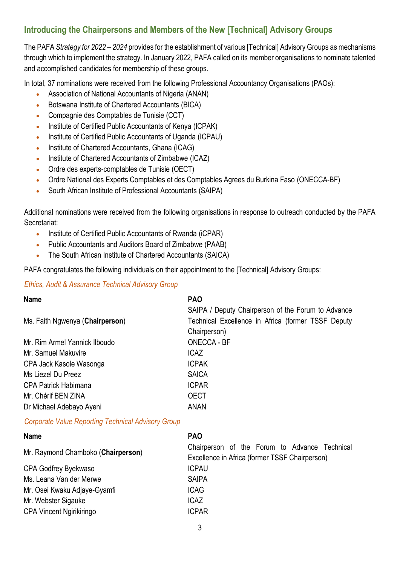## **Introducing the Chairpersons and Members of the New [Technical] Advisory Groups**

The PAFA *Strategy for 2022 – 2024* provides for the establishment of various [Technical] Advisory Groups as mechanisms through which to implement the strategy. In January 2022, PAFA called on its member organisations to nominate talented and accomplished candidates for membership of these groups.

In total, 37 nominations were received from the following Professional Accountancy Organisations (PAOs):

- Association of National Accountants of Nigeria (ANAN)
- Botswana Institute of Chartered Accountants (BICA)
- Compagnie des Comptables de Tunisie (CCT)
- Institute of Certified Public Accountants of Kenya (ICPAK)
- Institute of Certified Public Accountants of Uganda (ICPAU)
- Institute of Chartered Accountants, Ghana (ICAG)
- Institute of Chartered Accountants of Zimbabwe (ICAZ)
- Ordre des experts-comptables de Tunisie (OECT)
- Ordre National des Experts Comptables et des Comptables Agrees du Burkina Faso (ONECCA-BF)
- South African Institute of Professional Accountants (SAIPA)

Additional nominations were received from the following organisations in response to outreach conducted by the PAFA Secretariat:

- Institute of Certified Public Accountants of Rwanda (iCPAR)
- Public Accountants and Auditors Board of Zimbabwe (PAAB)
- The South African Institute of Chartered Accountants (SAICA)

PAFA congratulates the following individuals on their appointment to the [Technical] Advisory Groups:

#### *Ethics, Audit & Assurance Technical Advisory Group*

| <b>Name</b>                     | <b>PAO</b>                                         |
|---------------------------------|----------------------------------------------------|
|                                 | SAIPA / Deputy Chairperson of the Forum to Advance |
| Ms. Faith Ngwenya (Chairperson) | Technical Excellence in Africa (former TSSF Deputy |
|                                 | Chairperson)                                       |
| Mr. Rim Armel Yannick Ilboudo   | <b>ONECCA - BF</b>                                 |
| Mr. Samuel Makuvire             | <b>ICAZ</b>                                        |
| CPA Jack Kasole Wasonga         | <b>ICPAK</b>                                       |
| Ms Liezel Du Preez              | <b>SAICA</b>                                       |
| <b>CPA Patrick Habimana</b>     | <b>ICPAR</b>                                       |
| Mr. Chérif BEN ZINA             | <b>OECT</b>                                        |
| Dr Michael Adebayo Ayeni        | <b>ANAN</b>                                        |

#### *Corporate Value Reporting Technical Advisory Group*

| <b>Name</b>                        | <b>PAO</b>                                                                                      |
|------------------------------------|-------------------------------------------------------------------------------------------------|
| Mr. Raymond Chamboko (Chairperson) | Chairperson of the Forum to Advance Technical<br>Excellence in Africa (former TSSF Chairperson) |
| CPA Godfrey Byekwaso               | <b>ICPAU</b>                                                                                    |
| Ms. Leana Van der Merwe            | <b>SAIPA</b>                                                                                    |
| Mr. Osei Kwaku Adjaye-Gyamfi       | <b>ICAG</b>                                                                                     |
| Mr. Webster Sigauke                | <b>ICAZ</b>                                                                                     |
| <b>CPA Vincent Ngirikiringo</b>    | <b>ICPAR</b>                                                                                    |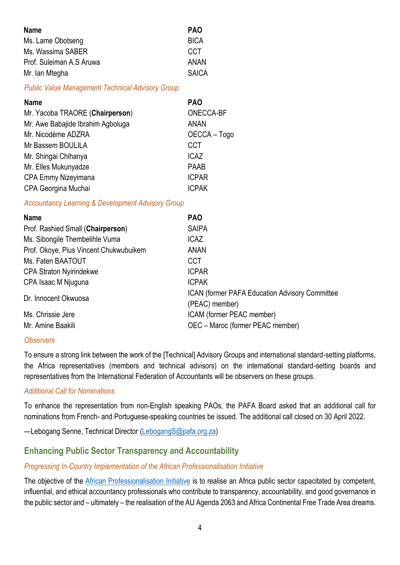| <b>Name</b>              | <b>PAO</b>   |
|--------------------------|--------------|
| Ms. Lame Obotseng        | <b>BICA</b>  |
| Ms. Wassima SABER        | <b>CCT</b>   |
| Prof. Suleiman A.S Aruwa | <b>ANAN</b>  |
| Mr. Ian Mtegha           | <b>SAICA</b> |

#### *Public Value Management Technical Advisory Group*

| <b>Name</b>                       | <b>PAO</b>   |
|-----------------------------------|--------------|
| Mr. Yacoba TRAORE (Chairperson)   | ONECCA-BF    |
| Mr. Awe Babajide Ibrahim Agboluga | ANAN         |
| Mr. Nicodème ADZRA                | OECCA - Togo |
| Mr Bassem BOULILA                 | <b>CCT</b>   |
| Mr. Shingai Chihanya              | <b>ICAZ</b>  |
| Mr. Elles Mukunyadze              | <b>PAAB</b>  |
| CPA Emmy Nizeyimana               | <b>ICPAR</b> |
| CPA Georgina Muchai               | <b>ICPAK</b> |

#### *Accountancy Learning & Development Advisory Group*

| <b>Name</b>                            | <b>PAO</b>                                                               |
|----------------------------------------|--------------------------------------------------------------------------|
| Prof. Rashied Small (Chairperson)      | <b>SAIPA</b>                                                             |
| Ms. Sibongile Thembelihle Vuma         | <b>ICAZ</b>                                                              |
| Prof. Okoye, Pius Vincent Chukwubuikem | <b>ANAN</b>                                                              |
| Ms. Faten BAATOUT                      | <b>CCT</b>                                                               |
| <b>CPA Straton Nyirindekwe</b>         | <b>ICPAR</b>                                                             |
| CPA Isaac M Njuguna                    | <b>ICPAK</b>                                                             |
| Dr. Innocent Okwuosa                   | <b>ICAN (former PAFA Education Advisory Committee)</b><br>(PEAC) member) |
| Ms. Chrissie Jere                      | ICAM (former PEAC member)                                                |
| Mr. Amine Baakili                      | OEC - Maroc (former PEAC member)                                         |

#### *Observers*

To ensure a strong link between the work of the [Technical] Advisory Groups and international standard-setting platforms, the Africa representatives (members and technical advisors) on the international standard-setting boards and representatives from the International Federation of Accountants will be observers on these groups.

#### *Additional Call for Nominations*

To enhance the representation from non-English speaking PAOs, the PAFA Board asked that an additional call for nominations from French- and Portuguese-speaking countries be issued. The additional call closed on 30 April 2022.

—Lebogang Senne, Technical Director [\(LebogangS@pafa.org.za\)](mailto:LebogangS@pafa.org.za)

### **Enhancing Public Sector Transparency and Accountability**

#### *Progressing In-Country Implementation of the African Professionalisation Initiative*

The objective of the [African Professionalisation Initiative](https://professionalisation.africa/) is to realise an Africa public sector capacitated by competent, influential, and ethical accountancy professionals who contribute to transparency, accountability, and good governance in the public sector and – ultimately – the realisation of the AU Agenda 2063 and Africa Continental Free Trade Area dreams.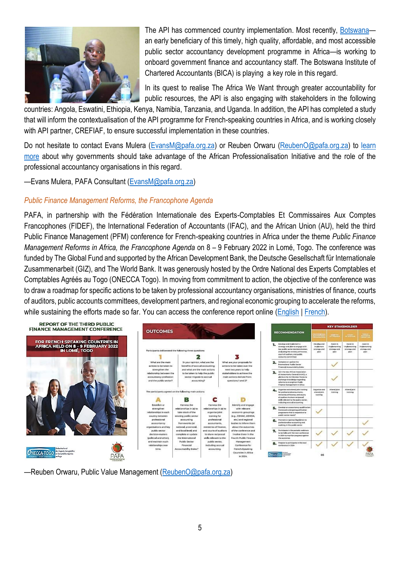

The API has commenced country implementation. Most recently, [Botswana](https://www.mmegi.bw/business/bica-to-bolster-public-accountant-skills-employment/news) an early beneficiary of this timely, high quality, affordable, and most accessible public sector accountancy development programme in Africa—is working to onboard government finance and accountancy staff. The Botswana Institute of Chartered Accountants (BICA) is playing a key role in this regard.

In its quest to realise The Africa We Want through greater accountability for public resources, the API is also engaging with stakeholders in the following

countries: Angola, Eswatini, Ethiopia, Kenya, Namibia, Tanzania, and Uganda. In addition, the API has completed a study that will inform the contextualisation of the API programme for French-speaking countries in Africa, and is working closely with API partner, CREFIAF, to ensure successful implementation in these countries.

Do not hesitate to contact Evans Mulera [\(EvansM@pafa.org.za\)](mailto:EvansM@pafa.org.za) or Reuben Orwaru [\(ReubenO@pafa.org.za\)](mailto:ReubenO@pafa.org.za) to learn [more](https://professionalisation.africa/online-learning-as-a-catalyst-for-the-realisation-of-a-critical-mass-of-public-sector-accountancy-professionals/) about why governments should take advantage of the African Professionalisation Initiative and the role of the professional accountancy organisations in this regard.

—Evans Mulera, PAFA Consultant [\(EvansM@pafa.org.za\)](mailto:EvansM@pafa.org.za)

#### *Public Finance Management Reforms, the Francophone Agenda*

PAFA, in partnership with the Fédération Internationale des Experts-Comptables Et Commissaires Aux Comptes Francophones (FIDEF), the International Federation of Accountants (IFAC), and the African Union (AU), held the third Public Finance Management (PFM) conference for French-speaking countries in Africa under the theme *Public Finance Management Reforms in Africa, the Francophone Agenda* on 8 – 9 February 2022 in Lomé, Togo. The conference was funded by The Global Fund and supported by the African Development Bank, the Deutsche Gesellschaft für Internationale Zusammenarbeit (GIZ), and The World Bank. It was generously hosted by the Ordre National des Experts Comptables et Comptables Agréés au Togo (ONECCA Togo). In moving from commitment to action, the objective of the conference was to draw a roadmap for specific actions to be taken by professional accountancy organisations, ministries of finance, courts of auditors, public accounts committees, development partners, and regional economic grouping to accelerate the reforms, while sustaining the efforts made so far. You can access the conference report online [\(English](https://zaf01.safelinks.protection.outlook.com/ap/b-59584e83/?url=https%3A%2F%2Fpafaafrica.sharepoint.com%2F%3Ab%3A%2Fg%2FEQqSLe0PwAFNvRE4YBrmVuYBE06rLblYW_lhGXi-KorzQw%3Fe%3DRT1q2C&data=05%7C01%7Caltap%40pafa.org.za%7Ce5dd7f2091dd4b02221408da22bf9e4c%7C2ee7786fc3a945ac81e6efc75b3c9c72%7C0%7C0%7C637860503630596942%7CUnknown%7CTWFpbGZsb3d8eyJWIjoiMC4wLjAwMDAiLCJQIjoiV2luMzIiLCJBTiI6Ik1haWwiLCJXVCI6Mn0%3D%7C3000%7C%7C%7C&sdata=8nf6sx9GCjDm0w1vsywjgnFMHLYOSW3MArKiiduprus%3D&reserved=0) | [French\)](https://zaf01.safelinks.protection.outlook.com/ap/b-59584e83/?url=https%3A%2F%2Fpafaafrica.sharepoint.com%2F%3Ab%3A%2Fg%2FEdE92LspZFRFpdUsvkuS8hEBy_Osg_5mzxcgiz8cI8yv3g%3Fe%3Dk0zkCd&data=05%7C01%7Caltap%40pafa.org.za%7Ce5dd7f2091dd4b02221408da22bf9e4c%7C2ee7786fc3a945ac81e6efc75b3c9c72%7C0%7C0%7C637860503630596942%7CUnknown%7CTWFpbGZsb3d8eyJWIjoiMC4wLjAwMDAiLCJQIjoiV2luMzIiLCJBTiI6Ik1haWwiLCJXVCI6Mn0%3D%7C3000%7C%7C%7C&sdata=K3CboXBRrxVPqEWmraIRMyVGVqO50BqG4Y8GbEfQExo%3D&reserved=0).



—Reuben Orwaru, Public Value Management [\(ReubenO@pafa.org.za\)](mailto:ReubenO@pafa.org.za)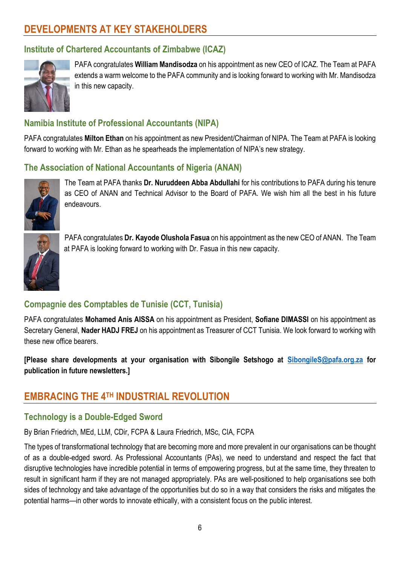# **DEVELOPMENTS AT KEY STAKEHOLDERS**

## **Institute of Chartered Accountants of Zimbabwe (ICAZ)**



PAFA congratulates **William Mandisodza** on his appointment as new CEO of ICAZ. The Team at PAFA extends a warm welcome to the PAFA community and is looking forward to working with Mr. Mandisodza in this new capacity.

## **Namibia Institute of Professional Accountants (NIPA)**

PAFA congratulates **Milton Ethan** on his appointment as new President/Chairman of NIPA. The Team at PAFA is looking forward to working with Mr. Ethan as he spearheads the implementation of NIPA's new strategy.

## **The Association of National Accountants of Nigeria (ANAN)**



The Team at PAFA thanks **Dr. Nuruddeen Abba Abdullahi** for his contributions to PAFA during his tenure as CEO of ANAN and Technical Advisor to the Board of PAFA. We wish him all the best in his future endeavours.



PAFA congratulates **Dr. Kayode Olushola Fasua** on his appointment as the new CEO of ANAN. The Team at PAFA is looking forward to working with Dr. Fasua in this new capacity.

## **Compagnie des Comptables de Tunisie (CCT, Tunisia)**

PAFA congratulates **Mohamed Anis AISSA** on his appointment as President, **Sofiane DIMASSI** on his appointment as Secretary General, **Nader HADJ FREJ** on his appointment as Treasurer of CCT Tunisia. We look forward to working with these new office bearers.

**[Please share developments at your organisation with Sibongile Setshogo at [SibongileS@pafa.org.za](mailto:SibongileS@pafa.org.za) for publication in future newsletters.]**

# **EMBRACING THE 4TH INDUSTRIAL REVOLUTION**

### **Technology is a Double-Edged Sword**

By Brian Friedrich, MEd, LLM, CDir, FCPA & Laura Friedrich, MSc, CIA, FCPA

The types of transformational technology that are becoming more and more prevalent in our organisations can be thought of as a double-edged sword. As Professional Accountants (PAs), we need to understand and respect the fact that disruptive technologies have incredible potential in terms of empowering progress, but at the same time, they threaten to result in significant harm if they are not managed appropriately. PAs are well-positioned to help organisations see both sides of technology and take advantage of the opportunities but do so in a way that considers the risks and mitigates the potential harms—in other words to innovate ethically, with a consistent focus on the public interest.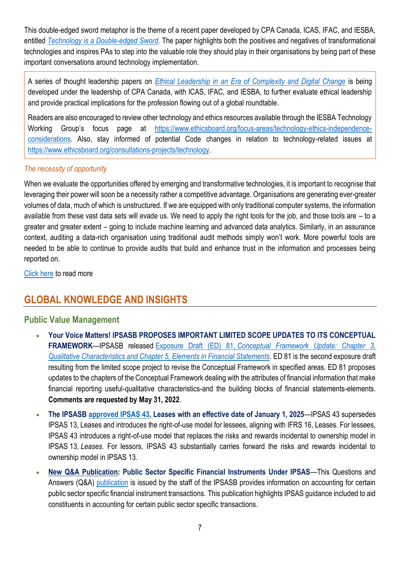This double-edged sword metaphor is the theme of a recent paper developed by CPA Canada, ICAS, IFAC, and IESBA, entitled *[Technology is a Double-edged Sword](https://www.ifac.org/knowledge-gateway/building-trust-ethics/publications/technology-double-edged-sword-both-opportunities-and-challenges-accountancy-profession-paper-2)*. The paper highlights both the positives and negatives of transformational technologies and inspires PAs to step into the valuable role they should play in their organisations by being part of these important conversations around technology implementation.

A series of thought leadership papers on *[Ethical Leadership in an Era of Complexity and Digital Change](https://www.ifac.org/knowledge-gateway/building-trust-ethics/discussion/ethical-leadership-digital-age)* is being developed under the leadership of CPA Canada, with ICAS, IFAC, and IESBA, to further evaluate ethical leadership and provide practical implications for the profession flowing out of a global roundtable.

Readers are also encouraged to review other technology and ethics resources available through the IESBA Technology Working Group's focus page at [https://www.ethicsboard.org/focus-areas/technology-ethics-independence](https://www.ethicsboard.org/focus-areas/technology-ethics-independence-considerations)[considerations.](https://www.ethicsboard.org/focus-areas/technology-ethics-independence-considerations) Also, stay informed of potential Code changes in relation to technology-related issues at [https://www.ethicsboard.org/consultations-projects/technology.](https://www.ethicsboard.org/consultations-projects/technology)

#### *The necessity of opportunity*

When we evaluate the opportunities offered by emerging and transformative technologies, it is important to recognise that leveraging their power will soon be a necessity rather a competitive advantage. Organisations are generating ever-greater volumes of data, much of which is unstructured. If we are equipped with only traditional computer systems, the information available from these vast data sets will evade us. We need to apply the right tools for the job, and those tools are – to a greater and greater extent – going to include machine learning and advanced data analytics. Similarly, in an assurance context, auditing a data-rich organisation using traditional audit methods simply won't work. More powerful tools are needed to be able to continue to provide audits that build and enhance trust in the information and processes being reported on.

[Click here](https://pafaafrica.sharepoint.com/:b:/g/EYkHy5rNfi9Jju8ruztuxVgByhX6hwfMB-A64woKsCFryQ?e=xIMi1C) to read more

# **GLOBAL KNOWLEDGE AND INSIGHTS**

### **Public Value Management**

- **Your Voice Matters! IPSASB PROPOSES IMPORTANT LIMITED SCOPE UPDATES TO ITS CONCEPTUAL FRAMEWORK**—IPSASB released Exposure Draft (ED) 81, *[Conceptual Framework Update: Chapter 3,](https://zaf01.safelinks.protection.outlook.com/?url=https%3A%2F%2Fwww.ipsasb.org%2Fpublications%2Fexposure-draft-ed-81-proposed-update-conceptual-framework&data=04%7C01%7CSibongileS%40pafa.org.za%7Cef4503ccbe9e432855b208da0524049f%7C2ee7786fc3a945ac81e6efc75b3c9c72%7C0%7C0%7C637827949504371856%7CUnknown%7CTWFpbGZsb3d8eyJWIjoiMC4wLjAwMDAiLCJQIjoiV2luMzIiLCJBTiI6Ik1haWwiLCJXVCI6Mn0%3D%7C3000&sdata=VmlZgvS8XJFtuz604lfDQyeIrnisFWEIE4Tm2vSR5qU%3D&reserved=0)  [Qualitative Characteristics and Chapter 5, Elements in Financial Statements](https://zaf01.safelinks.protection.outlook.com/?url=https%3A%2F%2Fwww.ipsasb.org%2Fpublications%2Fexposure-draft-ed-81-proposed-update-conceptual-framework&data=04%7C01%7CSibongileS%40pafa.org.za%7Cef4503ccbe9e432855b208da0524049f%7C2ee7786fc3a945ac81e6efc75b3c9c72%7C0%7C0%7C637827949504371856%7CUnknown%7CTWFpbGZsb3d8eyJWIjoiMC4wLjAwMDAiLCJQIjoiV2luMzIiLCJBTiI6Ik1haWwiLCJXVCI6Mn0%3D%7C3000&sdata=VmlZgvS8XJFtuz604lfDQyeIrnisFWEIE4Tm2vSR5qU%3D&reserved=0)*. ED 81 is the second exposure draft resulting from the limited scope project to revise the Conceptual Framework in specified areas. ED 81 proposes updates to the chapters of the Conceptual Framework dealing with the attributes of financial information that make financial reporting useful-qualitative characteristics-and the building blocks of financial statements-elements. **Comments are requested by May 31, 2022**.
- **The IPSASB [approved IPSAS 43,](https://zaf01.safelinks.protection.outlook.com/?url=https%3A%2F%2Fwww.ipsasb.org%2Fpublications%2Fipsas-43-leases&data=04%7C01%7CSibongileS%40pafa.org.za%7Cef4503ccbe9e432855b208da0524049f%7C2ee7786fc3a945ac81e6efc75b3c9c72%7C0%7C0%7C637827949504371856%7CUnknown%7CTWFpbGZsb3d8eyJWIjoiMC4wLjAwMDAiLCJQIjoiV2luMzIiLCJBTiI6Ik1haWwiLCJXVCI6Mn0%3D%7C3000&sdata=CB4U4Qn2ZLJRxuNY8n5GSWbBPOw%2Fz38j78X9XH3Cnp8%3D&reserved=0) Leases with an effective date of January 1, 2025**—IPSAS 43 supersedes IPSAS 13, Leases and introduces the right-of-use model for lessees, aligning with IFRS 16, Leases. For lessees, IPSAS 43 introduces a right-of-use model that replaces the risks and rewards incidental to ownership model in IPSAS 13, *Leases*. For lessors, IPSAS 43 substantially carries forward the risks and rewards incidental to ownership model in IPSAS 13.
- **[New Q&A Publication:](https://zaf01.safelinks.protection.outlook.com/?url=https%3A%2F%2Fwww.ipsasb.org%2Fpublications%2Fpublic-sector-specific-financial-instruments-under-ipsas&data=04%7C01%7CSibongileS%40pafa.org.za%7Cef4503ccbe9e432855b208da0524049f%7C2ee7786fc3a945ac81e6efc75b3c9c72%7C0%7C0%7C637827949504371856%7CUnknown%7CTWFpbGZsb3d8eyJWIjoiMC4wLjAwMDAiLCJQIjoiV2luMzIiLCJBTiI6Ik1haWwiLCJXVCI6Mn0%3D%7C3000&sdata=VXvRy0dwOnMkk62MdV8PVO0gtwzAPE%2Bn4EDHRiKGMWw%3D&reserved=0) Public Sector Specific Financial Instruments Under IPSAS**—This Questions and Answers (Q&A) [publication](https://zaf01.safelinks.protection.outlook.com/?url=https%3A%2F%2Fwww.ipsasb.org%2Fpublications%2Fpublic-sector-specific-financial-instruments-under-ipsas&data=04%7C01%7CSibongileS%40pafa.org.za%7Cef4503ccbe9e432855b208da0524049f%7C2ee7786fc3a945ac81e6efc75b3c9c72%7C0%7C0%7C637827949504371856%7CUnknown%7CTWFpbGZsb3d8eyJWIjoiMC4wLjAwMDAiLCJQIjoiV2luMzIiLCJBTiI6Ik1haWwiLCJXVCI6Mn0%3D%7C3000&sdata=VXvRy0dwOnMkk62MdV8PVO0gtwzAPE%2Bn4EDHRiKGMWw%3D&reserved=0) is issued by the staff of the IPSASB provides information on accounting for certain public sector specific financial instrument transactions. This publication highlights IPSAS guidance included to aid constituents in accounting for certain public sector specific transactions.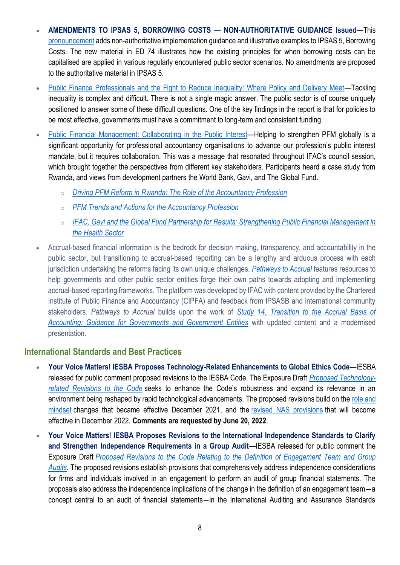- **AMENDMENTS TO IPSAS 5, BORROWING COSTS — NON-AUTHORITATIVE GUIDANCE Issued—**This [pronouncement](https://zaf01.safelinks.protection.outlook.com/?url=https%3A%2F%2Fwww.ipsasb.org%2Fpublications%2Famendments-ipsas-5-borrowing-costs-non-authoritative-guidance&data=04%7C01%7CSibongileS%40pafa.org.za%7Cef4503ccbe9e432855b208da0524049f%7C2ee7786fc3a945ac81e6efc75b3c9c72%7C0%7C0%7C637827949504371856%7CUnknown%7CTWFpbGZsb3d8eyJWIjoiMC4wLjAwMDAiLCJQIjoiV2luMzIiLCJBTiI6Ik1haWwiLCJXVCI6Mn0%3D%7C3000&sdata=Zm5Ev%2FWhdk8YKpWvKJV4zxG40g4IUMW42hRo%2BGbRZ0E%3D&reserved=0) adds non-authoritative implementation guidance and illustrative examples to IPSAS 5, Borrowing Costs. The new material in ED 74 illustrates how the existing principles for when borrowing costs can be capitalised are applied in various regularly encountered public sector scenarios. No amendments are proposed to the authoritative material in IPSAS 5.
- [Public Finance Professionals and the Fight to Reduce Inequality: Where Policy and Delivery Meet](https://zaf01.safelinks.protection.outlook.com/?url=https%3A%2F%2Fwww.ifac.org%2Fknowledge-gateway%2Fcontributing-global-economy%2Fdiscussion%2Fpublic-finance-professionals-and-fight-reduce-inequality-where-policy-and-delivery-meet&data=04%7C01%7CSibongileS%40pafa.org.za%7Cef4503ccbe9e432855b208da0524049f%7C2ee7786fc3a945ac81e6efc75b3c9c72%7C0%7C0%7C637827949503903139%7CUnknown%7CTWFpbGZsb3d8eyJWIjoiMC4wLjAwMDAiLCJQIjoiV2luMzIiLCJBTiI6Ik1haWwiLCJXVCI6Mn0%3D%7C3000&sdata=WmaJPqs63i4Vakv89zSK%2BUnVzlLZmTMY0pXk1Jr09SM%3D&reserved=0)—Tackling inequality is complex and difficult. There is not a single magic answer. The public sector is of course uniquely positioned to answer some of these difficult questions. One of the key findings in the report is that for policies to be most effective, governments must have a commitment to long-term and consistent funding.
- [Public Financial Management: Collaborating in the Public Interest](https://zaf01.safelinks.protection.outlook.com/?url=https%3A%2F%2Fwww.ifac.org%2Fknowledge-gateway%2Fcontributing-global-economy%2Fdiscussion%2Fpublic-financial-management-collaborating-public-interest&data=04%7C01%7CSibongileS%40pafa.org.za%7Cef4503ccbe9e432855b208da0524049f%7C2ee7786fc3a945ac81e6efc75b3c9c72%7C0%7C0%7C637827949503903139%7CUnknown%7CTWFpbGZsb3d8eyJWIjoiMC4wLjAwMDAiLCJQIjoiV2luMzIiLCJBTiI6Ik1haWwiLCJXVCI6Mn0%3D%7C3000&sdata=mgmvIMlB%2Bxl8CDrLPMXgi6q7B9SdCtzRr5Pu5%2Bpb6%2FA%3D&reserved=0)—Helping to strengthen PFM globally is a significant opportunity for professional accountancy organisations to advance our profession's public interest mandate, but it requires collaboration. This was a message that resonated throughout IFAC's council session, which brought together the perspectives from different key stakeholders. Participants heard a case study from Rwanda, and views from development partners the World Bank, Gavi, and The Global Fund.
	- o *[Driving PFM Reform in Rwanda: The Role of the Accountancy Profession](https://zaf01.safelinks.protection.outlook.com/?url=https%3A%2F%2Fwww.ifac.org%2Fknowledge-gateway%2Fcontributing-global-economy%2Fdiscussion%2Fdriving-pfm-reform-rwanda-role-accountancy-profession&data=04%7C01%7CSibongileS%40pafa.org.za%7Cef4503ccbe9e432855b208da0524049f%7C2ee7786fc3a945ac81e6efc75b3c9c72%7C0%7C0%7C637827949503903139%7CUnknown%7CTWFpbGZsb3d8eyJWIjoiMC4wLjAwMDAiLCJQIjoiV2luMzIiLCJBTiI6Ik1haWwiLCJXVCI6Mn0%3D%7C3000&sdata=cGQ%2FP5E6PWkIEwG8JAWx187Uus9ipXRVDX76BWaeKl8%3D&reserved=0)*
	- o *[PFM Trends and Actions for the Accountancy Profession](https://zaf01.safelinks.protection.outlook.com/?url=https%3A%2F%2Fwww.ifac.org%2Fknowledge-gateway%2Fcontributing-global-economy%2Fdiscussion%2Fpfm-trends-and-actions-accountancy-profession&data=04%7C01%7CSibongileS%40pafa.org.za%7Cef4503ccbe9e432855b208da0524049f%7C2ee7786fc3a945ac81e6efc75b3c9c72%7C0%7C0%7C637827949503903139%7CUnknown%7CTWFpbGZsb3d8eyJWIjoiMC4wLjAwMDAiLCJQIjoiV2luMzIiLCJBTiI6Ik1haWwiLCJXVCI6Mn0%3D%7C3000&sdata=5T%2FlV8Y57oBvGSDsQeM%2B2zCCcZd7G0Os1jZVJ%2BJQF68%3D&reserved=0)*
	- o *[IFAC, Gavi and the Global Fund Partnership for Results: Strengthening Public Financial Management in](https://zaf01.safelinks.protection.outlook.com/?url=https%3A%2F%2Fwww.ifac.org%2Fknowledge-gateway%2Fcontributing-global-economy%2Fdiscussion%2Fifac-gavi-and-global-fund-partnership-results-strengthening-public-financial-management-health&data=04%7C01%7CSibongileS%40pafa.org.za%7Cef4503ccbe9e432855b208da0524049f%7C2ee7786fc3a945ac81e6efc75b3c9c72%7C0%7C0%7C637827949504059380%7CUnknown%7CTWFpbGZsb3d8eyJWIjoiMC4wLjAwMDAiLCJQIjoiV2luMzIiLCJBTiI6Ik1haWwiLCJXVCI6Mn0%3D%7C3000&sdata=L1IOKW60HIGKnRa3yBOssYH7XnzLl93yuImHol%2B8fAA%3D&reserved=0)  [the Health Sector](https://zaf01.safelinks.protection.outlook.com/?url=https%3A%2F%2Fwww.ifac.org%2Fknowledge-gateway%2Fcontributing-global-economy%2Fdiscussion%2Fifac-gavi-and-global-fund-partnership-results-strengthening-public-financial-management-health&data=04%7C01%7CSibongileS%40pafa.org.za%7Cef4503ccbe9e432855b208da0524049f%7C2ee7786fc3a945ac81e6efc75b3c9c72%7C0%7C0%7C637827949504059380%7CUnknown%7CTWFpbGZsb3d8eyJWIjoiMC4wLjAwMDAiLCJQIjoiV2luMzIiLCJBTiI6Ik1haWwiLCJXVCI6Mn0%3D%7C3000&sdata=L1IOKW60HIGKnRa3yBOssYH7XnzLl93yuImHol%2B8fAA%3D&reserved=0)*
- Accrual-based financial information is the bedrock for decision making, transparency, and accountability in the public sector, but transitioning to accrual-based reporting can be a lengthy and arduous process with each jurisdiction undertaking the reforms facing its own unique challenges. *[Pathways to Accrual](https://pathways.ifac.org/)* features resources to help governments and other public sector entities forge their own paths towards adopting and implementing accrual-based reporting frameworks. The platform was developed by IFAC with content provided by the Chartered Institute of Public Finance and Accountancy (CIPFA) and feedback from IPSASB and international community stakeholders. *Pathways to Accrual* builds upon the work of *[Study 14, Transition to the Accrual Basis of](https://www.ipsasb.org/publications/study-14-transition-accrual-basis-accounting-guidance-governments-and-government-entities-third)  [Accounting: Guidance for Governments and Government Entities](https://www.ipsasb.org/publications/study-14-transition-accrual-basis-accounting-guidance-governments-and-government-entities-third)* with updated content and a modernised presentation.

### **International Standards and Best Practices**

- **Your Voice Matters! IESBA Proposes Technology-Related Enhancements to Global Ethics Code**—IESBA released for public comment proposed revisions to the IESBA Code. The Exposure Draft *[Proposed Technology](https://zaf01.safelinks.protection.outlook.com/?url=https%3A%2F%2Fwww.ethicsboard.org%2Fpublications%2Fproposed-technology-related-revisions-code&data=04%7C01%7CSibongileS%40pafa.org.za%7Cef4503ccbe9e432855b208da0524049f%7C2ee7786fc3a945ac81e6efc75b3c9c72%7C0%7C0%7C637827949504059380%7CUnknown%7CTWFpbGZsb3d8eyJWIjoiMC4wLjAwMDAiLCJQIjoiV2luMzIiLCJBTiI6Ik1haWwiLCJXVCI6Mn0%3D%7C3000&sdata=GjAiGP126Sm5wiL%2F9xVuo5chn3cyH7d05WmVEMPmFZ0%3D&reserved=0)[related Revisions to the Code](https://zaf01.safelinks.protection.outlook.com/?url=https%3A%2F%2Fwww.ethicsboard.org%2Fpublications%2Fproposed-technology-related-revisions-code&data=04%7C01%7CSibongileS%40pafa.org.za%7Cef4503ccbe9e432855b208da0524049f%7C2ee7786fc3a945ac81e6efc75b3c9c72%7C0%7C0%7C637827949504059380%7CUnknown%7CTWFpbGZsb3d8eyJWIjoiMC4wLjAwMDAiLCJQIjoiV2luMzIiLCJBTiI6Ik1haWwiLCJXVCI6Mn0%3D%7C3000&sdata=GjAiGP126Sm5wiL%2F9xVuo5chn3cyH7d05WmVEMPmFZ0%3D&reserved=0)* seeks to enhance the Code's robustness and expand its relevance in an environment being reshaped by rapid technological advancements. The proposed revisions build on the [role and](https://zaf01.safelinks.protection.outlook.com/?url=https%3A%2F%2Fwww.ethicsboard.org%2Fpublications%2Ffinal-pronouncement-revisions-code-promote-role-and-mindset-expected-professional-accountants&data=04%7C01%7CSibongileS%40pafa.org.za%7Cef4503ccbe9e432855b208da0524049f%7C2ee7786fc3a945ac81e6efc75b3c9c72%7C0%7C0%7C637827949504059380%7CUnknown%7CTWFpbGZsb3d8eyJWIjoiMC4wLjAwMDAiLCJQIjoiV2luMzIiLCJBTiI6Ik1haWwiLCJXVCI6Mn0%3D%7C3000&sdata=c6re6So15%2Fjp%2BA1fHh3u0sGbp%2FNW9FZ6ghYiPCJlXNQ%3D&reserved=0)  [mindset](https://zaf01.safelinks.protection.outlook.com/?url=https%3A%2F%2Fwww.ethicsboard.org%2Fpublications%2Ffinal-pronouncement-revisions-code-promote-role-and-mindset-expected-professional-accountants&data=04%7C01%7CSibongileS%40pafa.org.za%7Cef4503ccbe9e432855b208da0524049f%7C2ee7786fc3a945ac81e6efc75b3c9c72%7C0%7C0%7C637827949504059380%7CUnknown%7CTWFpbGZsb3d8eyJWIjoiMC4wLjAwMDAiLCJQIjoiV2luMzIiLCJBTiI6Ik1haWwiLCJXVCI6Mn0%3D%7C3000&sdata=c6re6So15%2Fjp%2BA1fHh3u0sGbp%2FNW9FZ6ghYiPCJlXNQ%3D&reserved=0) changes that became effective December 2021, and the [revised NAS provisions](https://zaf01.safelinks.protection.outlook.com/?url=https%3A%2F%2Fwww.ethicsboard.org%2Fpublications%2Ffinal-pronouncement-revisions-non-assurance-service-provisions-code&data=04%7C01%7CSibongileS%40pafa.org.za%7Cef4503ccbe9e432855b208da0524049f%7C2ee7786fc3a945ac81e6efc75b3c9c72%7C0%7C0%7C637827949504059380%7CUnknown%7CTWFpbGZsb3d8eyJWIjoiMC4wLjAwMDAiLCJQIjoiV2luMzIiLCJBTiI6Ik1haWwiLCJXVCI6Mn0%3D%7C3000&sdata=bDBz7GA6qwF61ogWgQ4g6qFiOqPArk4nc0uIIc6p0Lo%3D&reserved=0) that will become effective in December 2022. **Comments are requested by June 20, 2022**.
- **Your Voice Matters**! **IESBA Proposes Revisions to the International Independence Standards to Clarify and Strengthen Independence Requirements in a Group Audit**—IESBA released for public comment the Exposure Draft *[Proposed Revisions to the Code Relating to the Definition of Engagement Team and Group](https://zaf01.safelinks.protection.outlook.com/?url=https%3A%2F%2Fwww.ethicsboard.org%2Fpublications%2Fproposed-revisions-code-relating-definition-engagement-team-and-group-audits&data=04%7C01%7CSibongileS%40pafa.org.za%7Cef4503ccbe9e432855b208da0524049f%7C2ee7786fc3a945ac81e6efc75b3c9c72%7C0%7C0%7C637827949504059380%7CUnknown%7CTWFpbGZsb3d8eyJWIjoiMC4wLjAwMDAiLCJQIjoiV2luMzIiLCJBTiI6Ik1haWwiLCJXVCI6Mn0%3D%7C3000&sdata=zNub0Fg45ewOyJ38Dgpa%2F7VmB8TwlkIV4WpQbtQ4Jl0%3D&reserved=0)  [Audits.](https://zaf01.safelinks.protection.outlook.com/?url=https%3A%2F%2Fwww.ethicsboard.org%2Fpublications%2Fproposed-revisions-code-relating-definition-engagement-team-and-group-audits&data=04%7C01%7CSibongileS%40pafa.org.za%7Cef4503ccbe9e432855b208da0524049f%7C2ee7786fc3a945ac81e6efc75b3c9c72%7C0%7C0%7C637827949504059380%7CUnknown%7CTWFpbGZsb3d8eyJWIjoiMC4wLjAwMDAiLCJQIjoiV2luMzIiLCJBTiI6Ik1haWwiLCJXVCI6Mn0%3D%7C3000&sdata=zNub0Fg45ewOyJ38Dgpa%2F7VmB8TwlkIV4WpQbtQ4Jl0%3D&reserved=0)* The proposed revisions establish provisions that comprehensively address independence considerations for firms and individuals involved in an engagement to perform an audit of group financial statements. The proposals also address the independence implications of the change in the definition of an engagement team―a concept central to an audit of financial statements―in the International Auditing and Assurance Standards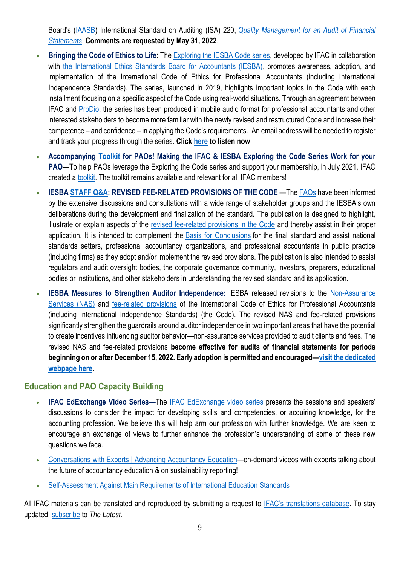Board's ([IAASB\)](https://zaf01.safelinks.protection.outlook.com/?url=https%3A%2F%2Fwww.iaasb.org%2F&data=04%7C01%7CSibongileS%40pafa.org.za%7Cef4503ccbe9e432855b208da0524049f%7C2ee7786fc3a945ac81e6efc75b3c9c72%7C0%7C0%7C637827949504059380%7CUnknown%7CTWFpbGZsb3d8eyJWIjoiMC4wLjAwMDAiLCJQIjoiV2luMzIiLCJBTiI6Ik1haWwiLCJXVCI6Mn0%3D%7C3000&sdata=tTtQsh%2B393QzvOWqKK%2F%2FOVxbgbB1ulJ7V2ZxaXUDVo4%3D&reserved=0) International Standard on Auditing (ISA) 220, *[Quality Management for an Audit of Financial](https://zaf01.safelinks.protection.outlook.com/?url=https%3A%2F%2Fwww.ifac.org%2Fsystem%2Ffiles%2Fpublications%2Ffiles%2FIAASB-International-Standard-Auditing-220-Revised.pdf&data=04%7C01%7CSibongileS%40pafa.org.za%7Cef4503ccbe9e432855b208da0524049f%7C2ee7786fc3a945ac81e6efc75b3c9c72%7C0%7C0%7C637827949504059380%7CUnknown%7CTWFpbGZsb3d8eyJWIjoiMC4wLjAwMDAiLCJQIjoiV2luMzIiLCJBTiI6Ik1haWwiLCJXVCI6Mn0%3D%7C3000&sdata=nwvJsqWY72CkdJFRw58l7pgejU9xTMP24JwmOZ7inSU%3D&reserved=0)  [Statements](https://zaf01.safelinks.protection.outlook.com/?url=https%3A%2F%2Fwww.ifac.org%2Fsystem%2Ffiles%2Fpublications%2Ffiles%2FIAASB-International-Standard-Auditing-220-Revised.pdf&data=04%7C01%7CSibongileS%40pafa.org.za%7Cef4503ccbe9e432855b208da0524049f%7C2ee7786fc3a945ac81e6efc75b3c9c72%7C0%7C0%7C637827949504059380%7CUnknown%7CTWFpbGZsb3d8eyJWIjoiMC4wLjAwMDAiLCJQIjoiV2luMzIiLCJBTiI6Ik1haWwiLCJXVCI6Mn0%3D%7C3000&sdata=nwvJsqWY72CkdJFRw58l7pgejU9xTMP24JwmOZ7inSU%3D&reserved=0)*. **Comments are requested by May 31, 2022**.

- **Bringing the Code of Ethics to Life**: The [Exploring the IESBA Code series,](https://zaf01.safelinks.protection.outlook.com/?url=https%3A%2F%2Fwww.ifac.org%2Fknowledge-gateway%2Fbuilding-trust-ethics%2Fdiscussion%2Fexploring-iesba-code&data=04%7C01%7CSibongileS%40pafa.org.za%7Cef4503ccbe9e432855b208da0524049f%7C2ee7786fc3a945ac81e6efc75b3c9c72%7C0%7C0%7C637827949504059380%7CUnknown%7CTWFpbGZsb3d8eyJWIjoiMC4wLjAwMDAiLCJQIjoiV2luMzIiLCJBTiI6Ik1haWwiLCJXVCI6Mn0%3D%7C3000&sdata=4MQLv0zrGnHOvtIgvNxdyvE13mcdZJZOC0Of2czRmwo%3D&reserved=0) developed by IFAC in collaboration with [the International Ethics Standards Board for Accountants \(IESBA\),](https://zaf01.safelinks.protection.outlook.com/?url=https%3A%2F%2Fwww.ethicsboard.org%2F&data=04%7C01%7CSibongileS%40pafa.org.za%7Cef4503ccbe9e432855b208da0524049f%7C2ee7786fc3a945ac81e6efc75b3c9c72%7C0%7C0%7C637827949504059380%7CUnknown%7CTWFpbGZsb3d8eyJWIjoiMC4wLjAwMDAiLCJQIjoiV2luMzIiLCJBTiI6Ik1haWwiLCJXVCI6Mn0%3D%7C3000&sdata=bFp%2FyAglGVlzgzJkOnrDHI%2Fjng2TYwvQsN5vvrG7fFM%3D&reserved=0) promotes awareness, adoption, and implementation of the International Code of Ethics for Professional Accountants (including International Independence Standards). The series, launched in 2019, highlights important topics in the Code with each installment focusing on a specific aspect of the Code using real-world situations. Through an agreement between IFAC and [ProDio,](https://zaf01.safelinks.protection.outlook.com/?url=https%3A%2F%2Fprodiolearning.com%2F&data=04%7C01%7CSibongileS%40pafa.org.za%7Cef4503ccbe9e432855b208da0524049f%7C2ee7786fc3a945ac81e6efc75b3c9c72%7C0%7C0%7C637827949504059380%7CUnknown%7CTWFpbGZsb3d8eyJWIjoiMC4wLjAwMDAiLCJQIjoiV2luMzIiLCJBTiI6Ik1haWwiLCJXVCI6Mn0%3D%7C3000&sdata=RlHLf7S7cAlvgOiaUzQHzMM2Trqjk4ahMFHQZrf8Vb8%3D&reserved=0) the series has been produced in mobile audio format for professional accountants and other interested stakeholders to become more familiar with the newly revised and restructured Code and increase their competence – and confidence – in applying the Code's requirements. An email address will be needed to register and track your progress through the series. **Click [here](https://zaf01.safelinks.protection.outlook.com/?url=https%3A%2F%2Fprodiolearning.com%2Fcourse-details.php%3Fcourse_id%3DNDE%3D&data=04%7C01%7CSibongileS%40pafa.org.za%7Cef4503ccbe9e432855b208da0524049f%7C2ee7786fc3a945ac81e6efc75b3c9c72%7C0%7C0%7C637827949504059380%7CUnknown%7CTWFpbGZsb3d8eyJWIjoiMC4wLjAwMDAiLCJQIjoiV2luMzIiLCJBTiI6Ik1haWwiLCJXVCI6Mn0%3D%7C3000&sdata=s6juMmWZoYklqCt%2BEy00fPXu7rQhzh8Ag6ycAqfvhag%3D&reserved=0) to listen now**.
- **Accompanying [Toolkit](https://zaf01.safelinks.protection.outlook.com/?url=https%3A%2F%2Fmailchi.mp%2Fifac.org%2Fmaking-the-ifac-iesba-exploring-the-code-series-work-for-your-pao%3Fe%3Dea056acd5d&data=04%7C01%7CSibongileS%40pafa.org.za%7Cef4503ccbe9e432855b208da0524049f%7C2ee7786fc3a945ac81e6efc75b3c9c72%7C0%7C0%7C637827949504059380%7CUnknown%7CTWFpbGZsb3d8eyJWIjoiMC4wLjAwMDAiLCJQIjoiV2luMzIiLCJBTiI6Ik1haWwiLCJXVCI6Mn0%3D%7C3000&sdata=aRotoSaOcHc2HFlXA2H8KusoMRpYYJrTF6hjWx5kT9Q%3D&reserved=0) for PAOs! Making the IFAC & IESBA Exploring the Code Series Work for your PAO**—To help PAOs leverage the Exploring the Code series and support your membership, in July 2021, IFAC created a [toolkit.](https://zaf01.safelinks.protection.outlook.com/?url=https%3A%2F%2Fmailchi.mp%2Fifac.org%2Fmaking-the-ifac-iesba-exploring-the-code-series-work-for-your-pao%3Fe%3Dea056acd5d&data=04%7C01%7CSibongileS%40pafa.org.za%7Cef4503ccbe9e432855b208da0524049f%7C2ee7786fc3a945ac81e6efc75b3c9c72%7C0%7C0%7C637827949504059380%7CUnknown%7CTWFpbGZsb3d8eyJWIjoiMC4wLjAwMDAiLCJQIjoiV2luMzIiLCJBTiI6Ik1haWwiLCJXVCI6Mn0%3D%7C3000&sdata=aRotoSaOcHc2HFlXA2H8KusoMRpYYJrTF6hjWx5kT9Q%3D&reserved=0) The toolkit remains available and relevant for all IFAC members!
- **IESB[A STAFF Q&A:](https://zaf01.safelinks.protection.outlook.com/?url=https%3A%2F%2Fwww.ethicsboard.org%2Fpublications%2Fiesba-staff-qa-revised-fee-related-provisions-code&data=04%7C01%7CSibongileS%40pafa.org.za%7Cef4503ccbe9e432855b208da0524049f%7C2ee7786fc3a945ac81e6efc75b3c9c72%7C0%7C0%7C637827949504059380%7CUnknown%7CTWFpbGZsb3d8eyJWIjoiMC4wLjAwMDAiLCJQIjoiV2luMzIiLCJBTiI6Ik1haWwiLCJXVCI6Mn0%3D%7C3000&sdata=Bo4WpsWA2fWrxqHsifCQ8rt1rvi1N5K4JEoRM8Ksaz8%3D&reserved=0) REVISED FEE-RELATED PROVISIONS OF THE CODE** —Th[e FAQs](https://zaf01.safelinks.protection.outlook.com/?url=https%3A%2F%2Fwww.ethicsboard.org%2Fpublications%2Fiesba-staff-qa-revised-fee-related-provisions-code&data=04%7C01%7CSibongileS%40pafa.org.za%7Cef4503ccbe9e432855b208da0524049f%7C2ee7786fc3a945ac81e6efc75b3c9c72%7C0%7C0%7C637827949504059380%7CUnknown%7CTWFpbGZsb3d8eyJWIjoiMC4wLjAwMDAiLCJQIjoiV2luMzIiLCJBTiI6Ik1haWwiLCJXVCI6Mn0%3D%7C3000&sdata=Bo4WpsWA2fWrxqHsifCQ8rt1rvi1N5K4JEoRM8Ksaz8%3D&reserved=0) have been informed by the extensive discussions and consultations with a wide range of stakeholder groups and the IESBA's own deliberations during the development and finalization of the standard. The publication is designed to highlight, illustrate or explain aspects of the [revised fee-related provisions in the Code](https://zaf01.safelinks.protection.outlook.com/?url=https%3A%2F%2Fwww.ethicsboard.org%2Fpublications%2Ffinal-pronouncement-revisions-fee-related-provisions-code&data=04%7C01%7CSibongileS%40pafa.org.za%7Cef4503ccbe9e432855b208da0524049f%7C2ee7786fc3a945ac81e6efc75b3c9c72%7C0%7C0%7C637827949504059380%7CUnknown%7CTWFpbGZsb3d8eyJWIjoiMC4wLjAwMDAiLCJQIjoiV2luMzIiLCJBTiI6Ik1haWwiLCJXVCI6Mn0%3D%7C3000&sdata=4GJwhN%2BqfhPIxpwTLEJy4p0eIAdX17dPfVXy7wjTE9k%3D&reserved=0) and thereby assist in their proper application. It is intended to complement the [Basis for Conclusions](https://zaf01.safelinks.protection.outlook.com/?url=https%3A%2F%2Fifac.us7.list-manage.com%2Ftrack%2Fclick%3Fu%3D9e7d9671563ff754a328b2833%26id%3D64bff9f014%26e%3Dea056acd5d&data=04%7C01%7CSibongileS%40pafa.org.za%7Cef4503ccbe9e432855b208da0524049f%7C2ee7786fc3a945ac81e6efc75b3c9c72%7C0%7C0%7C637827949504059380%7CUnknown%7CTWFpbGZsb3d8eyJWIjoiMC4wLjAwMDAiLCJQIjoiV2luMzIiLCJBTiI6Ik1haWwiLCJXVCI6Mn0%3D%7C3000&sdata=FpULvBpwKL%2F1yTp8iOhPd6jdPP7XY6lK9PqjdrDy0Ro%3D&reserved=0) for the final standard and assist national standards setters, professional accountancy organizations, and professional accountants in public practice (including firms) as they adopt and/or implement the revised provisions. The publication is also intended to assist regulators and audit oversight bodies, the corporate governance community, investors, preparers, educational bodies or institutions, and other stakeholders in understanding the revised standard and its application.
- **IESBA Measures to Strengthen Auditor Independence:** IESBA released revisions to the [Non-Assurance](https://zaf01.safelinks.protection.outlook.com/?url=https%3A%2F%2Fwww.ethicsboard.org%2Fpublications%2Ffinal-pronouncement-revisions-non-assurance-service-provisions-code&data=04%7C01%7CSibongileS%40pafa.org.za%7Cef4503ccbe9e432855b208da0524049f%7C2ee7786fc3a945ac81e6efc75b3c9c72%7C0%7C0%7C637827949504059380%7CUnknown%7CTWFpbGZsb3d8eyJWIjoiMC4wLjAwMDAiLCJQIjoiV2luMzIiLCJBTiI6Ik1haWwiLCJXVCI6Mn0%3D%7C3000&sdata=bDBz7GA6qwF61ogWgQ4g6qFiOqPArk4nc0uIIc6p0Lo%3D&reserved=0)  [Services \(NAS\)](https://zaf01.safelinks.protection.outlook.com/?url=https%3A%2F%2Fwww.ethicsboard.org%2Fpublications%2Ffinal-pronouncement-revisions-non-assurance-service-provisions-code&data=04%7C01%7CSibongileS%40pafa.org.za%7Cef4503ccbe9e432855b208da0524049f%7C2ee7786fc3a945ac81e6efc75b3c9c72%7C0%7C0%7C637827949504059380%7CUnknown%7CTWFpbGZsb3d8eyJWIjoiMC4wLjAwMDAiLCJQIjoiV2luMzIiLCJBTiI6Ik1haWwiLCJXVCI6Mn0%3D%7C3000&sdata=bDBz7GA6qwF61ogWgQ4g6qFiOqPArk4nc0uIIc6p0Lo%3D&reserved=0) and [fee-related provisions](https://zaf01.safelinks.protection.outlook.com/?url=https%3A%2F%2Fwww.ethicsboard.org%2Fpublications%2Ffinal-pronouncement-revisions-fee-related-provisions-code&data=04%7C01%7CSibongileS%40pafa.org.za%7Cef4503ccbe9e432855b208da0524049f%7C2ee7786fc3a945ac81e6efc75b3c9c72%7C0%7C0%7C637827949504059380%7CUnknown%7CTWFpbGZsb3d8eyJWIjoiMC4wLjAwMDAiLCJQIjoiV2luMzIiLCJBTiI6Ik1haWwiLCJXVCI6Mn0%3D%7C3000&sdata=4GJwhN%2BqfhPIxpwTLEJy4p0eIAdX17dPfVXy7wjTE9k%3D&reserved=0) of the International Code of Ethics for Professional Accountants (including International Independence Standards) (the Code). The revised NAS and fee-related provisions significantly strengthen the guardrails around auditor independence in two important areas that have the potential to create incentives influencing auditor behavior—non-assurance services provided to audit clients and fees. The revised NAS and fee-related provisions **become effective for audits of financial statements for periods beginning on or after December 15, 2022. Early adoption is permitted and encouraged—[visit the dedicated](https://zaf01.safelinks.protection.outlook.com/?url=https%3A%2F%2Fwww.ethicsboard.org%2Ffocus-areas%2Fstrengthening-international-independence-standards&data=04%7C01%7CSibongileS%40pafa.org.za%7Cef4503ccbe9e432855b208da0524049f%7C2ee7786fc3a945ac81e6efc75b3c9c72%7C0%7C0%7C637827949504215609%7CUnknown%7CTWFpbGZsb3d8eyJWIjoiMC4wLjAwMDAiLCJQIjoiV2luMzIiLCJBTiI6Ik1haWwiLCJXVCI6Mn0%3D%7C3000&sdata=pX5Aurpp5voD5qm%2FWKCLr%2B7C3CJOjvfyGnkkaHy%2FpdA%3D&reserved=0)  [webpage here.](https://zaf01.safelinks.protection.outlook.com/?url=https%3A%2F%2Fwww.ethicsboard.org%2Ffocus-areas%2Fstrengthening-international-independence-standards&data=04%7C01%7CSibongileS%40pafa.org.za%7Cef4503ccbe9e432855b208da0524049f%7C2ee7786fc3a945ac81e6efc75b3c9c72%7C0%7C0%7C637827949504215609%7CUnknown%7CTWFpbGZsb3d8eyJWIjoiMC4wLjAwMDAiLCJQIjoiV2luMzIiLCJBTiI6Ik1haWwiLCJXVCI6Mn0%3D%7C3000&sdata=pX5Aurpp5voD5qm%2FWKCLr%2B7C3CJOjvfyGnkkaHy%2FpdA%3D&reserved=0)**

### **Education and PAO Capacity Building**

- **IFAC EdExchange Video Series**—The [IFAC EdExchange video series](https://zaf01.safelinks.protection.outlook.com/?url=https%3A%2F%2Fwww.ifac.org%2Fknowledge-gateway%2Fpreparing-future-ready-professionals%2Fdiscussion%2Fifac-edexchange-video-series&data=04%7C01%7CSibongileS%40pafa.org.za%7Cef4503ccbe9e432855b208da0524049f%7C2ee7786fc3a945ac81e6efc75b3c9c72%7C0%7C0%7C637827949504215609%7CUnknown%7CTWFpbGZsb3d8eyJWIjoiMC4wLjAwMDAiLCJQIjoiV2luMzIiLCJBTiI6Ik1haWwiLCJXVCI6Mn0%3D%7C3000&sdata=gqA%2FmHsFBUGuuKkUWJF8jbCibKX2%2BAlIkQSn3lIroPY%3D&reserved=0) presents the sessions and speakers' discussions to consider the impact for developing skills and competencies, or acquiring knowledge, for the accounting profession. We believe this will help arm our profession with further knowledge. We are keen to encourage an exchange of views to further enhance the profession's understanding of some of these new questions we face.
- [Conversations with Experts | Advancing Accountancy Education](https://zaf01.safelinks.protection.outlook.com/?url=https%3A%2F%2Fwww.youtube.com%2Fplaylist%3Flist%3DPLfuuMk7vk2djeuDqXku9xEGfj_LJlB_5B&data=04%7C01%7CSibongileS%40pafa.org.za%7Cef4503ccbe9e432855b208da0524049f%7C2ee7786fc3a945ac81e6efc75b3c9c72%7C0%7C0%7C637827949504215609%7CUnknown%7CTWFpbGZsb3d8eyJWIjoiMC4wLjAwMDAiLCJQIjoiV2luMzIiLCJBTiI6Ik1haWwiLCJXVCI6Mn0%3D%7C3000&sdata=AiGYDwByTlzfULnzeXghCB%2BGISLK%2BRxDalwiR8brPBA%3D&reserved=0)—on-demand videos with experts talking about the future of accountancy education & on sustainability reporting!
- [Self-Assessment Against Main Requirements of International Education Standards](https://zaf01.safelinks.protection.outlook.com/?url=https%3A%2F%2Fwww.ifac.org%2Fknowledge-gateway%2Fsupporting-international-standards%2Fpublications%2Fself-assessment-against-main-requirements-international-education-standards&data=04%7C01%7CSibongileS%40pafa.org.za%7Cef4503ccbe9e432855b208da0524049f%7C2ee7786fc3a945ac81e6efc75b3c9c72%7C0%7C0%7C637827949504371856%7CUnknown%7CTWFpbGZsb3d8eyJWIjoiMC4wLjAwMDAiLCJQIjoiV2luMzIiLCJBTiI6Ik1haWwiLCJXVCI6Mn0%3D%7C3000&sdata=%2BGzuNql1gc1Rb79ygQc4UoGYGle8tRkrP3sqajhQ%2FiI%3D&reserved=0)

All IFAC materials can be translated and reproduced by submitting a request to [IFAC's translations](https://protect-za.mimecast.com/s/6vgvCKO71pHqqmO9fMD0OQ?domain=ifac.org) database. To stay updated, [subscribe](https://protect-za.mimecast.com/s/DnSSCLg17qcPP4KXuqF8PO?domain=ifac.org) to *The Latest.*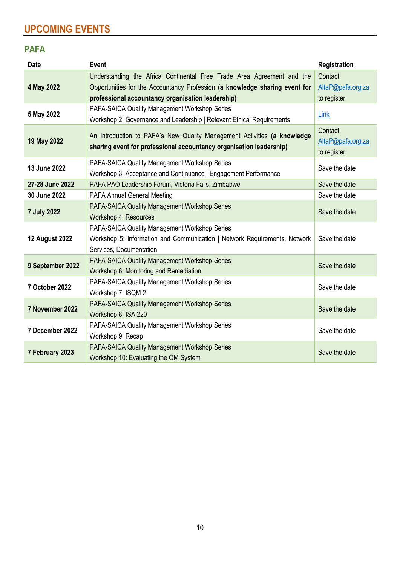# **UPCOMING EVENTS**

## **PAFA**

| <b>Date</b>           | <b>Event</b>                                                                                                                                                                                               | Registration                                |
|-----------------------|------------------------------------------------------------------------------------------------------------------------------------------------------------------------------------------------------------|---------------------------------------------|
| 4 May 2022            | Understanding the Africa Continental Free Trade Area Agreement and the<br>Opportunities for the Accountancy Profession (a knowledge sharing event for<br>professional accountancy organisation leadership) | Contact<br>AltaP@pafa.org.za<br>to register |
| 5 May 2022            | PAFA-SAICA Quality Management Workshop Series<br>Workshop 2: Governance and Leadership   Relevant Ethical Requirements                                                                                     | Link                                        |
| 19 May 2022           | An Introduction to PAFA's New Quality Management Activities (a knowledge<br>sharing event for professional accountancy organisation leadership)                                                            | Contact<br>AltaP@pafa.org.za<br>to register |
| 13 June 2022          | PAFA-SAICA Quality Management Workshop Series<br>Workshop 3: Acceptance and Continuance   Engagement Performance                                                                                           | Save the date                               |
| 27-28 June 2022       | PAFA PAO Leadership Forum, Victoria Falls, Zimbabwe                                                                                                                                                        | Save the date                               |
| 30 June 2022          | <b>PAFA Annual General Meeting</b>                                                                                                                                                                         | Save the date                               |
| <b>7 July 2022</b>    | PAFA-SAICA Quality Management Workshop Series<br>Workshop 4: Resources                                                                                                                                     | Save the date                               |
| <b>12 August 2022</b> | PAFA-SAICA Quality Management Workshop Series<br>Workshop 5: Information and Communication   Network Requirements, Network<br>Services, Documentation                                                      | Save the date                               |
| 9 September 2022      | PAFA-SAICA Quality Management Workshop Series<br>Workshop 6: Monitoring and Remediation                                                                                                                    | Save the date                               |
| 7 October 2022        | PAFA-SAICA Quality Management Workshop Series<br>Workshop 7: ISQM 2                                                                                                                                        | Save the date                               |
| 7 November 2022       | PAFA-SAICA Quality Management Workshop Series<br>Workshop 8: ISA 220                                                                                                                                       | Save the date                               |
| 7 December 2022       | PAFA-SAICA Quality Management Workshop Series<br>Workshop 9: Recap                                                                                                                                         | Save the date                               |
| 7 February 2023       | PAFA-SAICA Quality Management Workshop Series<br>Workshop 10: Evaluating the QM System                                                                                                                     | Save the date                               |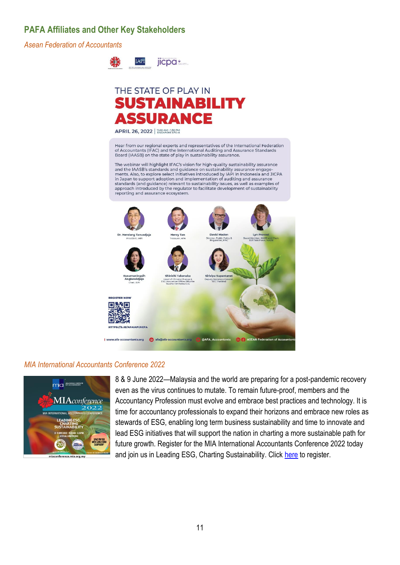## **PAFA Affiliates and Other Key Stakeholders**

*Asean Federation of Accountants*



# THE STATE OF PLAY IN **SUSTAINABILITY SSUDANCE**

APRIL 26, 2022 | 11.00 AM - 1.30 PM

Hear from our regional experts and representatives of the International Federation The Accountants (IFAC) and the International Auditing and Assurance Standards<br>Board (IAASB) on the state of play in sustainability assurance.

The webinar will highlight IFAC's vision for high-quality sustainability assurance and the IAASB's standards and guidance on sustainability assurance engage-<br>ments. Also, to explore select initiatives introduced by IAPI in Indonesia and JICPA in Japan to support adoption and implementation of auditing and assurance standards (and guidance) relevant to sustainability issues, as well as examples of approach introduced by the regulator to facilitate development of sustainability reporting and assurance ecosystem.



#### *MIA International Accountants Conference 2022*



8 & 9 June 2022—Malaysia and the world are preparing for a post-pandemic recovery even as the virus continues to mutate. To remain future-proof, members and the Accountancy Profession must evolve and embrace best practices and technology. It is time for accountancy professionals to expand their horizons and embrace new roles as stewards of ESG, enabling long term business sustainability and time to innovate and lead ESG initiatives that will support the nation in charting a more sustainable path for future growth. Register for the MIA International Accountants Conference 2022 today and join us in Leading ESG, Charting Sustainability. Click [here](https://zaf01.safelinks.protection.outlook.com/?url=https%3A%2F%2Fmiaconference.mia.org.my%2F&data=04%7C01%7Csibongiles%40pafa.org.za%7Cc85fe74243e74808cbf208d9fff93477%7C2ee7786fc3a945ac81e6efc75b3c9c72%7C0%7C0%7C637822268104458776%7CUnknown%7CTWFpbGZsb3d8eyJWIjoiMC4wLjAwMDAiLCJQIjoiV2luMzIiLCJBTiI6Ik1haWwiLCJXVCI6Mn0%3D%7C3000&sdata=9QAP9ZbUxb0%2Bj8jkCSOXtYjLYQCb7xjjrx1JUHQSmqw%3D&reserved=0) to register.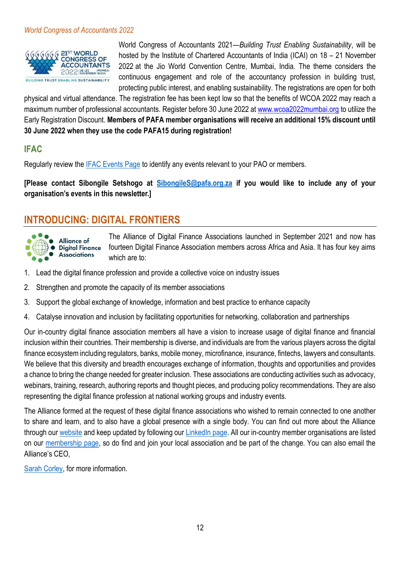#### *World Congress of Accountants 2022*



World Congress of Accountants 2021—*Building Trust Enabling Sustainability*, will be hosted by the Institute of Chartered Accountants of India (ICAI) on 18 – 21 November 2022 at the Jio World Convention Centre, Mumbai, India. The theme considers the continuous engagement and role of the accountancy profession in building trust, protecting public interest, and enabling sustainability. The registrations are open for both

physical and virtual attendance. The registration fee has been kept low so that the benefits of WCOA 2022 may reach a maximum number of professional accountants. Register before 30 June 2022 a[t www.wcoa2022mumbai.org](https://zaf01.safelinks.protection.outlook.com/?url=http%3A%2F%2Fwww.wcoa2022mumbai.org%2F&data=04%7C01%7CSibongileS%40pafa.org.za%7C7f3010f44fb04e49900b08da10ce9855%7C2ee7786fc3a945ac81e6efc75b3c9c72%7C0%7C0%7C637840776770830393%7CUnknown%7CTWFpbGZsb3d8eyJWIjoiMC4wLjAwMDAiLCJQIjoiV2luMzIiLCJBTiI6Ik1haWwiLCJXVCI6Mn0%3D%7C3000&sdata=7tKmO0IEdsadk%2BlYfn3pu94BNHKK110pQEd1HgvjLAY%3D&reserved=0) to utilize the Early Registration Discount. **Members of PAFA member organisations will receive an additional 15% discount until 30 June 2022 when they use the code PAFA15 during registration!**

### **IFAC**

Regularly review the **IFAC Events Page to identify any events relevant to your PAO or members.** 

**[Please contact Sibongile Setshogo at [SibongileS@pafa.org.za](mailto:SibongileS@pafa.org.za) if you would like to include any of your organisation's events in this newsletter.]**

# **INTRODUCING: DIGITAL FRONTIERS**



The Alliance of Digital Finance Associations launched in September 2021 and now has fourteen Digital Finance Association members across Africa and Asia. It has four key aims which are to:

- 1. Lead the digital finance profession and provide a collective voice on industry issues
- 2. Strengthen and promote the capacity of its member associations
- 3. Support the global exchange of knowledge, information and best practice to enhance capacity
- 4. Catalyse innovation and inclusion by facilitating opportunities for networking, collaboration and partnerships

Our in-country digital finance association members all have a vision to increase usage of digital finance and financial inclusion within their countries. Their membership is diverse, and individuals are from the various players across the digital finance ecosystem including regulators, banks, mobile money, microfinance, insurance, fintechs, lawyers and consultants. We believe that this diversity and breadth encourages exchange of information, thoughts and opportunities and provides a chance to bring the change needed for greater inclusion. These associations are conducting activities such as advocacy, webinars, training, research, authoring reports and thought pieces, and producing policy recommendations. They are also representing the digital finance profession at national working groups and industry events.

The Alliance formed at the request of these digital finance associations who wished to remain connected to one another to share and learn, and to also have a global presence with a single body. You can find out more about the Alliance through our [website](https://alliancedfa.org/) and keep updated by following our [LinkedIn page.](https://www.linkedin.com/company/74979508/) All our in-country member organisations are listed on our [membership page,](https://alliancedfa.org/membership-page/) so do find and join your local association and be part of the change. You can also email the Alliance's CEO,

[Sarah Corley,](mailto:sarah@alliancedfa.org) for more information.